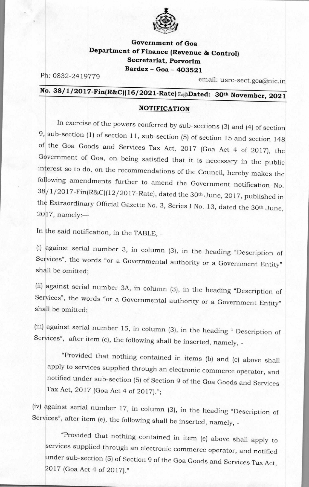

## **Government of Goa Department of Finance (Revenue & Control) Secretariat, Porvorim Bardez - Goa - 403521**

Ph: 0832-2419779 email: usrc-sect.goa@nic.in

## **No. 38/ <sup>1</sup> /2017-Fin(R&C)(16/ 2021-Rate)** 2 **;,-,Dated: 30th November, 2021**

## **NOTIFICATION**

In exercise of the powers conferred by sub-sections (3) and (4) of section 9, sub-section (1) of section 11, sub-section (5) of section 15 and section 148 of the Goa Goods and Services Tax Act, 2017 (Goa Act 4 of 2017), the Government of Goa, on being satisfied that it is necessary in the public interest so to do, on the recommendations of the Council, hereby makes the following amendments further to amend the Government notification No. 38/ 1/2017-Fin(R&C)(12/2017-Rate), dated the 30th June, 2017, published in the Extraordinary Official Gazette No. 3, Series I No. 13, dated the 30th June, 2017, namely:—

In the said notification, in the TABLE, -

(i) against serial number 3, in column (3), in the heading "Description of Services", the words "or a Governmental authority or a Government Entity" shall be omitted;

(ii) against serial number 3A, in column (3), in the heading "Description of Services", the words "or a Governmental authority or a Government Entity" shall be omitted;

(iii) against serial number 15, in column (3), in the heading " Description of Services", after item (c), the following shall be inserted, namely, -

"Provided that nothing contained in items (b) and (c) above shall apply to services supplied through an electronic commerce operator, and notified under sub-section (5) of Section 9 of the Goa Goods and Services Tax Act, 2017 (Goa Act 4 of 2017).";

(iv) against serial number 17, in column (3), in the heading "Description of Services", after item (e), the following shall be inserted, namely, -

"Provided that nothing contained in item (e) above shall apply to services supplied through an electronic commerce operator, and notified under sub-section (5) of Section 9 of the Goa Goods and Services Tax Act, 2017 (Goa Act 4 of 2017)."